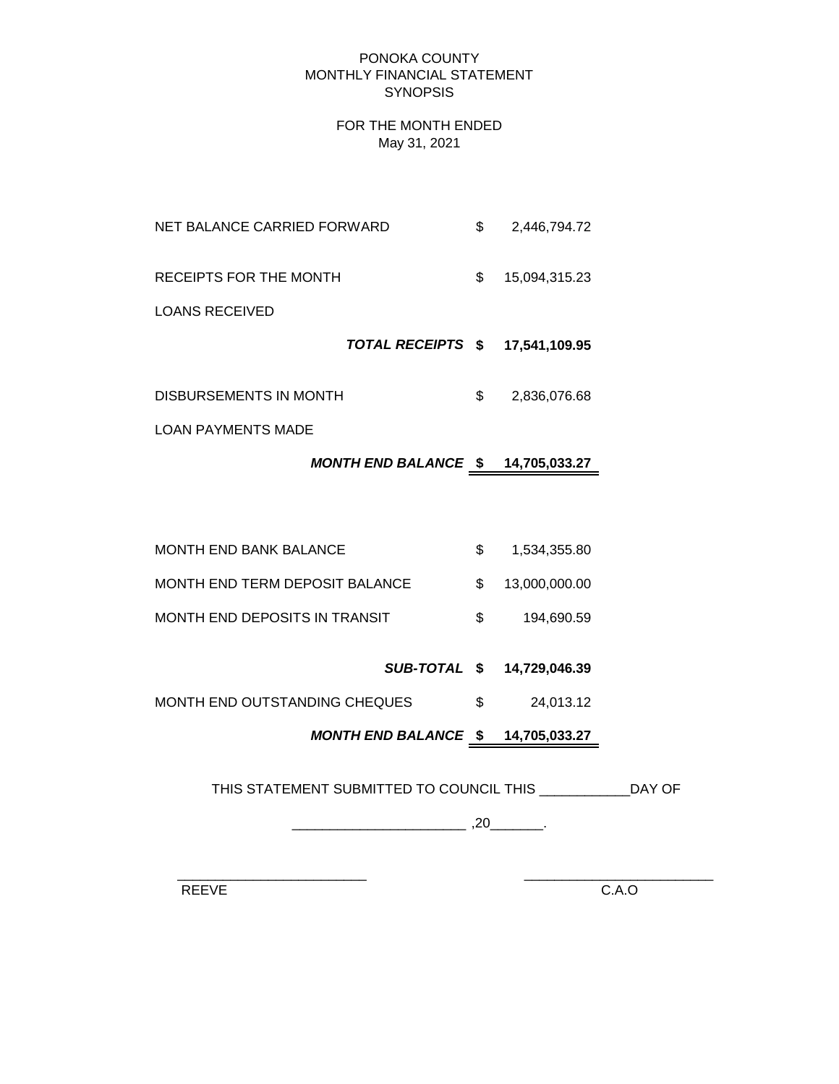#### PONOKA COUNTY MONTHLY FINANCIAL STATEMENT **SYNOPSIS**

#### FOR THE MONTH ENDED May 31, 2021

NET BALANCE CARRIED FORWARD  $$ 2,446,794.72$ RECEIPTS FOR THE MONTH  $$ 15,094,315.23$ 

LOANS RECEIVED

 *TOTAL RECEIPTS* **\$ 17,541,109.95**

DISBURSEMENTS IN MONTH  $$3,836,076.68$ 

LOAN PAYMENTS MADE

# *MONTH END BALANCE* **\$ 14,705,033.27**

| MONTH END BANK BALANCE         | 1.534.355.80     |
|--------------------------------|------------------|
| MONTH END TERM DEPOSIT BALANCE | \$ 13,000,000,00 |
| MONTH END DEPOSITS IN TRANSIT  | 194.690.59       |

# *SUB-TOTAL* **\$ 14,729,046.39**

MONTH END OUTSTANDING CHEQUES  $$3$  24,013.12

# *MONTH END BALANCE* **\$ 14,705,033.27**

THIS STATEMENT SUBMITTED TO COUNCIL THIS \_\_\_\_\_\_\_\_\_\_\_\_DAY OF

 $\overline{\phantom{a}20}$  ,  $\overline{\phantom{a}20}$  ,  $\overline{\phantom{a}20}$  .

 $\frac{1}{2}$  ,  $\frac{1}{2}$  ,  $\frac{1}{2}$  ,  $\frac{1}{2}$  ,  $\frac{1}{2}$  ,  $\frac{1}{2}$  ,  $\frac{1}{2}$  ,  $\frac{1}{2}$  ,  $\frac{1}{2}$  ,  $\frac{1}{2}$  ,  $\frac{1}{2}$  ,  $\frac{1}{2}$  ,  $\frac{1}{2}$  ,  $\frac{1}{2}$  ,  $\frac{1}{2}$  ,  $\frac{1}{2}$  ,  $\frac{1}{2}$  ,  $\frac{1}{2}$  ,  $\frac{1$ 

REEVE C.A.O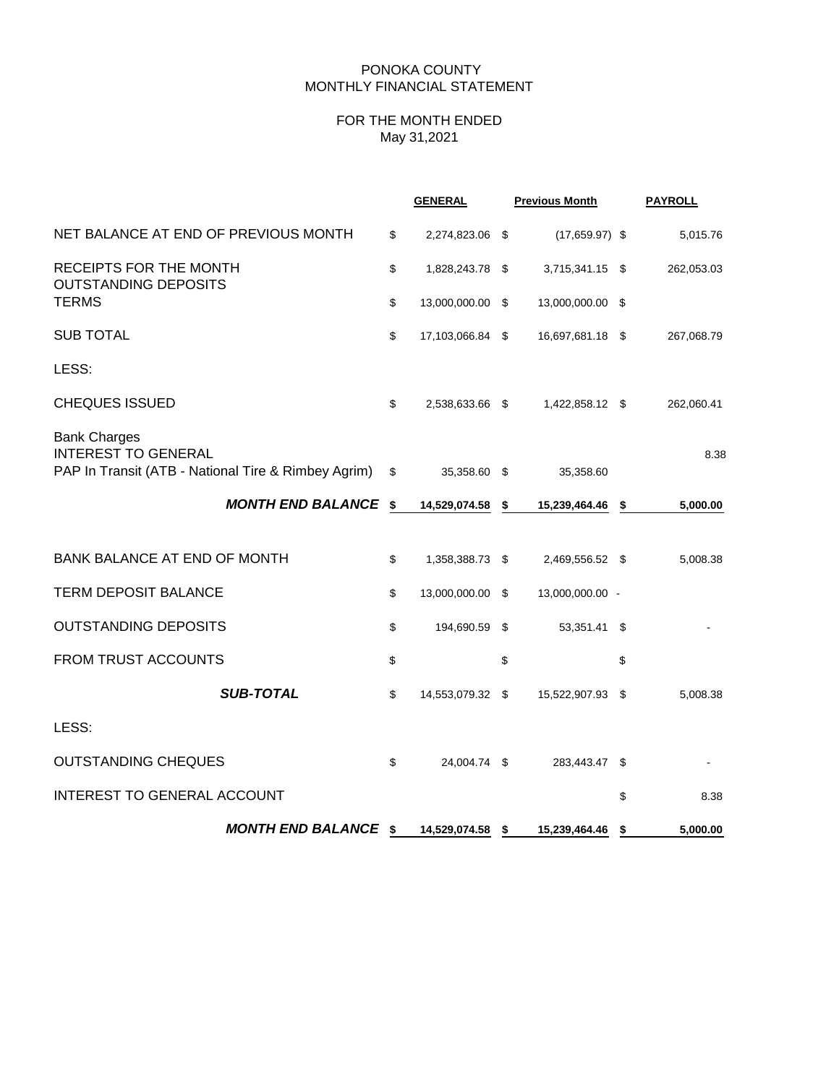### PONOKA COUNTY MONTHLY FINANCIAL STATEMENT

### FOR THE MONTH ENDED May 31,2021

|                                                                                                          | <b>GENERAL</b>         | <b>Previous Month</b> |                  |            |  | <b>PAYROLL</b> |  |
|----------------------------------------------------------------------------------------------------------|------------------------|-----------------------|------------------|------------|--|----------------|--|
| NET BALANCE AT END OF PREVIOUS MONTH                                                                     | \$<br>2,274,823.06 \$  |                       | $(17,659.97)$ \$ | 5,015.76   |  |                |  |
| RECEIPTS FOR THE MONTH<br><b>OUTSTANDING DEPOSITS</b>                                                    | \$<br>1,828,243.78 \$  |                       | 3,715,341.15 \$  | 262,053.03 |  |                |  |
| <b>TERMS</b>                                                                                             | \$<br>13,000,000.00 \$ |                       | 13,000,000.00 \$ |            |  |                |  |
| <b>SUB TOTAL</b>                                                                                         | \$<br>17,103,066.84 \$ |                       | 16,697,681.18 \$ | 267,068.79 |  |                |  |
| LESS:                                                                                                    |                        |                       |                  |            |  |                |  |
| <b>CHEQUES ISSUED</b>                                                                                    | \$<br>2,538,633.66 \$  |                       | 1,422,858.12 \$  | 262,060.41 |  |                |  |
| <b>Bank Charges</b><br><b>INTEREST TO GENERAL</b><br>PAP In Transit (ATB - National Tire & Rimbey Agrim) | \$<br>35,358.60 \$     |                       | 35,358.60        | 8.38       |  |                |  |
| <b>MONTH END BALANCE \$</b>                                                                              | 14,529,074.58 \$       |                       | 15,239,464.46 \$ | 5,000.00   |  |                |  |
| BANK BALANCE AT END OF MONTH                                                                             | \$<br>1,358,388.73 \$  |                       | 2,469,556.52 \$  | 5,008.38   |  |                |  |
| <b>TERM DEPOSIT BALANCE</b>                                                                              | \$<br>13,000,000.00 \$ |                       | 13,000,000.00 -  |            |  |                |  |
| <b>OUTSTANDING DEPOSITS</b>                                                                              | \$<br>194,690.59 \$    |                       | 53,351.41 \$     |            |  |                |  |
| FROM TRUST ACCOUNTS                                                                                      | \$                     | \$                    |                  | \$         |  |                |  |
| <b>SUB-TOTAL</b>                                                                                         | \$<br>14,553,079.32 \$ |                       | 15,522,907.93 \$ | 5,008.38   |  |                |  |
| LESS:                                                                                                    |                        |                       |                  |            |  |                |  |
| <b>OUTSTANDING CHEQUES</b>                                                                               | \$<br>24,004.74 \$     |                       | 283,443.47 \$    |            |  |                |  |
| <b>INTEREST TO GENERAL ACCOUNT</b>                                                                       |                        |                       |                  | \$<br>8.38 |  |                |  |
| <b>MONTH END BALANCE \$</b>                                                                              | 14,529,074.58 \$       |                       | 15,239,464.46 \$ | 5,000.00   |  |                |  |